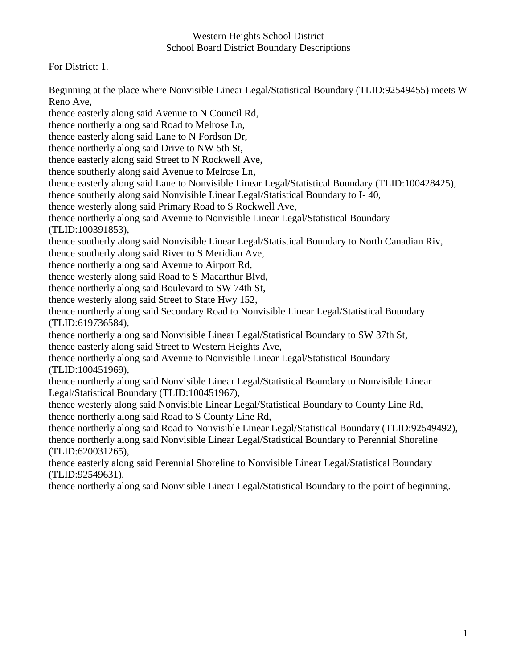For District: 1.

Beginning at the place where Nonvisible Linear Legal/Statistical Boundary (TLID:92549455) meets W Reno Ave,

thence easterly along said Avenue to N Council Rd, thence northerly along said Road to Melrose Ln, thence easterly along said Lane to N Fordson Dr, thence northerly along said Drive to NW 5th St, thence easterly along said Street to N Rockwell Ave, thence southerly along said Avenue to Melrose Ln, thence easterly along said Lane to Nonvisible Linear Legal/Statistical Boundary (TLID:100428425), thence southerly along said Nonvisible Linear Legal/Statistical Boundary to I- 40, thence westerly along said Primary Road to S Rockwell Ave, thence northerly along said Avenue to Nonvisible Linear Legal/Statistical Boundary (TLID:100391853), thence southerly along said Nonvisible Linear Legal/Statistical Boundary to North Canadian Riv, thence southerly along said River to S Meridian Ave, thence northerly along said Avenue to Airport Rd, thence westerly along said Road to S Macarthur Blvd, thence northerly along said Boulevard to SW 74th St, thence westerly along said Street to State Hwy 152, thence northerly along said Secondary Road to Nonvisible Linear Legal/Statistical Boundary (TLID:619736584), thence northerly along said Nonvisible Linear Legal/Statistical Boundary to SW 37th St, thence easterly along said Street to Western Heights Ave, thence northerly along said Avenue to Nonvisible Linear Legal/Statistical Boundary (TLID:100451969), thence northerly along said Nonvisible Linear Legal/Statistical Boundary to Nonvisible Linear Legal/Statistical Boundary (TLID:100451967), thence westerly along said Nonvisible Linear Legal/Statistical Boundary to County Line Rd, thence northerly along said Road to S County Line Rd, thence northerly along said Road to Nonvisible Linear Legal/Statistical Boundary (TLID:92549492), thence northerly along said Nonvisible Linear Legal/Statistical Boundary to Perennial Shoreline (TLID:620031265), thence easterly along said Perennial Shoreline to Nonvisible Linear Legal/Statistical Boundary (TLID:92549631), thence northerly along said Nonvisible Linear Legal/Statistical Boundary to the point of beginning.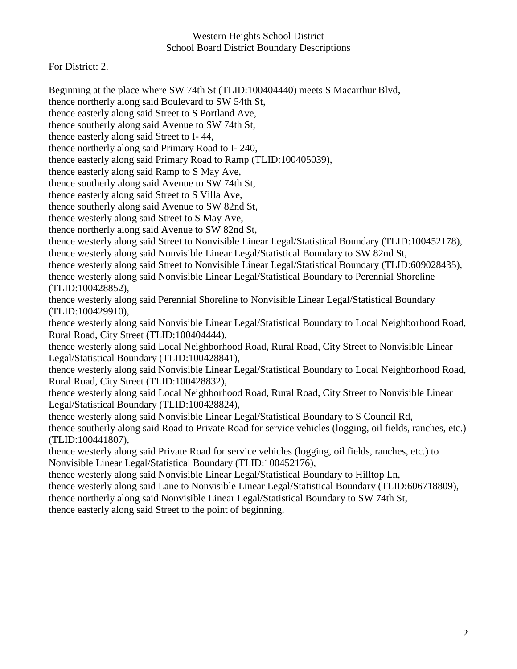For District: 2.

Beginning at the place where SW 74th St (TLID:100404440) meets S Macarthur Blvd, thence northerly along said Boulevard to SW 54th St, thence easterly along said Street to S Portland Ave, thence southerly along said Avenue to SW 74th St, thence easterly along said Street to I- 44, thence northerly along said Primary Road to I- 240, thence easterly along said Primary Road to Ramp (TLID:100405039), thence easterly along said Ramp to S May Ave, thence southerly along said Avenue to SW 74th St, thence easterly along said Street to S Villa Ave, thence southerly along said Avenue to SW 82nd St, thence westerly along said Street to S May Ave, thence northerly along said Avenue to SW 82nd St, thence westerly along said Street to Nonvisible Linear Legal/Statistical Boundary (TLID:100452178), thence westerly along said Nonvisible Linear Legal/Statistical Boundary to SW 82nd St, thence westerly along said Street to Nonvisible Linear Legal/Statistical Boundary (TLID:609028435), thence westerly along said Nonvisible Linear Legal/Statistical Boundary to Perennial Shoreline (TLID:100428852), thence westerly along said Perennial Shoreline to Nonvisible Linear Legal/Statistical Boundary (TLID:100429910), thence westerly along said Nonvisible Linear Legal/Statistical Boundary to Local Neighborhood Road, Rural Road, City Street (TLID:100404444), thence westerly along said Local Neighborhood Road, Rural Road, City Street to Nonvisible Linear Legal/Statistical Boundary (TLID:100428841), thence westerly along said Nonvisible Linear Legal/Statistical Boundary to Local Neighborhood Road, Rural Road, City Street (TLID:100428832), thence westerly along said Local Neighborhood Road, Rural Road, City Street to Nonvisible Linear Legal/Statistical Boundary (TLID:100428824), thence westerly along said Nonvisible Linear Legal/Statistical Boundary to S Council Rd, thence southerly along said Road to Private Road for service vehicles (logging, oil fields, ranches, etc.) (TLID:100441807), thence westerly along said Private Road for service vehicles (logging, oil fields, ranches, etc.) to Nonvisible Linear Legal/Statistical Boundary (TLID:100452176), thence westerly along said Nonvisible Linear Legal/Statistical Boundary to Hilltop Ln, thence westerly along said Lane to Nonvisible Linear Legal/Statistical Boundary (TLID:606718809), thence northerly along said Nonvisible Linear Legal/Statistical Boundary to SW 74th St, thence easterly along said Street to the point of beginning.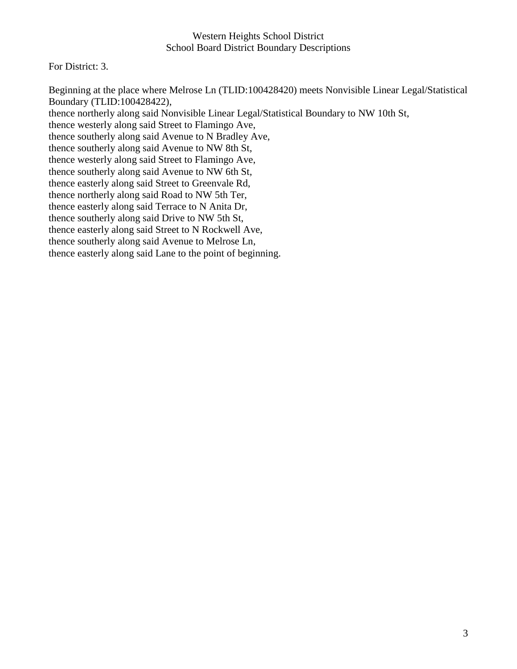For District: 3.

Beginning at the place where Melrose Ln (TLID:100428420) meets Nonvisible Linear Legal/Statistical Boundary (TLID:100428422), thence northerly along said Nonvisible Linear Legal/Statistical Boundary to NW 10th St, thence westerly along said Street to Flamingo Ave, thence southerly along said Avenue to N Bradley Ave, thence southerly along said Avenue to NW 8th St, thence westerly along said Street to Flamingo Ave, thence southerly along said Avenue to NW 6th St, thence easterly along said Street to Greenvale Rd, thence northerly along said Road to NW 5th Ter, thence easterly along said Terrace to N Anita Dr, thence southerly along said Drive to NW 5th St, thence easterly along said Street to N Rockwell Ave, thence southerly along said Avenue to Melrose Ln, thence easterly along said Lane to the point of beginning.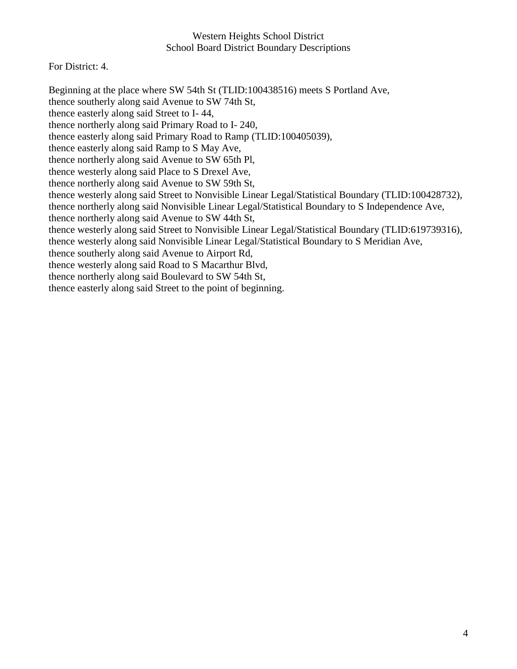For District: 4.

Beginning at the place where SW 54th St (TLID:100438516) meets S Portland Ave, thence southerly along said Avenue to SW 74th St, thence easterly along said Street to I- 44, thence northerly along said Primary Road to I- 240, thence easterly along said Primary Road to Ramp (TLID:100405039), thence easterly along said Ramp to S May Ave, thence northerly along said Avenue to SW 65th Pl, thence westerly along said Place to S Drexel Ave, thence northerly along said Avenue to SW 59th St, thence westerly along said Street to Nonvisible Linear Legal/Statistical Boundary (TLID:100428732), thence northerly along said Nonvisible Linear Legal/Statistical Boundary to S Independence Ave, thence northerly along said Avenue to SW 44th St, thence westerly along said Street to Nonvisible Linear Legal/Statistical Boundary (TLID:619739316), thence westerly along said Nonvisible Linear Legal/Statistical Boundary to S Meridian Ave, thence southerly along said Avenue to Airport Rd, thence westerly along said Road to S Macarthur Blvd, thence northerly along said Boulevard to SW 54th St, thence easterly along said Street to the point of beginning.